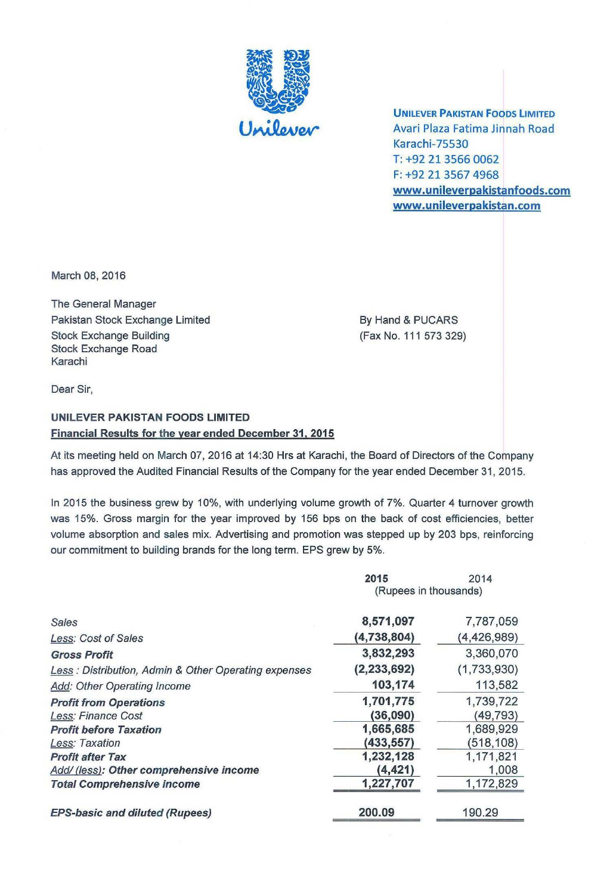

**UNILEVER PAKISTAN FOODS LIMITED** Avari Plaza Fatima Jinnah Road Karachi-75530 T: +92 21 3566 0062 F: +92 21 3567 4968 www.unileverpakistanfoods.com www.unileverpakistan.com

March 08, 2016

The General Manager Pakistan Stock Exchange Limited Stock Exchange Building Stock Exchange Road Karachi

By Hand & PUCARS (Fax No. 111 573 329)

Dear Sir,

# UNILEVER PAKISTAN FOODS LIMITED Financial Results for the year ended December 31.2015

At its meeting held on March 07, 2016 at 14:30 Hrs at Karachi, the Board of Directors of the Company has approved the Audited Financial Results of the Company for the year ended December 31, 2015.

In 2015 the business grew by 10%, with underlying volume growth of 7%. Quarter 4 turnover growth was 15%. Gross margin for the year improved by 156 bps on the back of cost efficiencies, better volume absorption and sales mix. Advertising and promotion was stepped up by 203 bps, reinforcing our commitment to building brands for the long term. EPS grew by 5%.

|                                                      | 2015                  | 2014          |
|------------------------------------------------------|-----------------------|---------------|
|                                                      | (Rupees in thousands) |               |
| Sales                                                | 8,571,097             | 7,787,059     |
| Less: Cost of Sales                                  | (4,738,804)           | (4, 426, 989) |
| <b>Gross Profit</b>                                  | 3,832,293             | 3,360,070     |
| Less: Distribution, Admin & Other Operating expenses | (2, 233, 692)         | (1,733,930)   |
| Add: Other Operating Income                          | 103,174               | 113,582       |
| <b>Profit from Operations</b>                        | 1,701,775             | 1,739,722     |
| Less: Finance Cost                                   | (36,090)              | (49, 793)     |
| <b>Profit before Taxation</b>                        | 1,665,685             | 1,689,929     |
| Less: Taxation                                       | (433,557)             | (518, 108)    |
| <b>Profit after Tax</b>                              | 1,232,128             | 1,171,821     |
| Add/ (less): Other comprehensive income              | (4, 421)              | 1,008         |
| <b>Total Comprehensive income</b>                    | 1,227,707             | 1,172,829     |
| <b>EPS-basic and diluted (Rupees)</b>                | 200.09                | 190.29        |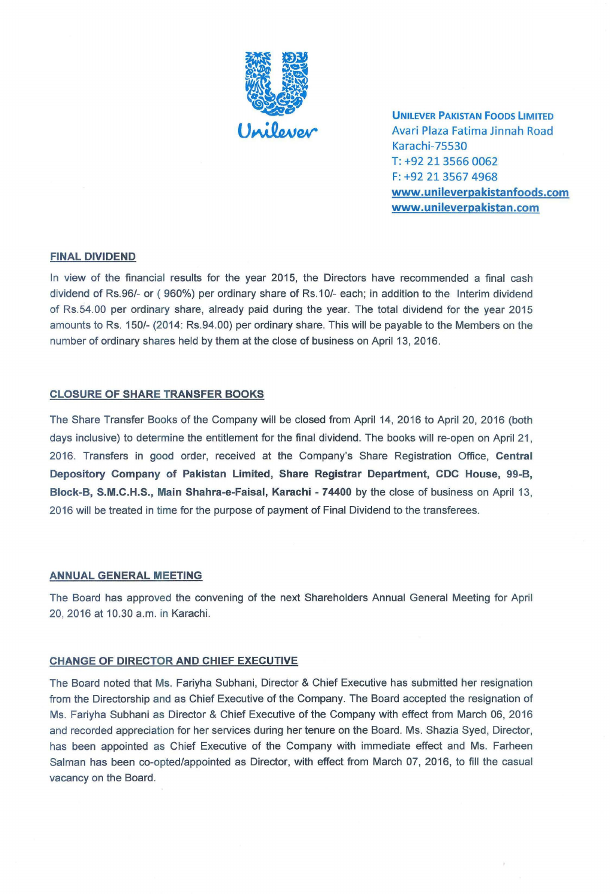

UNILEVER PAKISTAN FOODS LIMITED Avari Plaza Fatima Jinnah Road Karachi-75530 T: +92 21 35660062 F: +92 21 35674968 www.unileverpakistanfoods.com www.unileverpakistan.com

### FINAL DIVIDEND

In view of the financial results for the year 2015, the Directors have recommended a final cash dividend of Rs.96/- or (960%) per ordinary share of Rs.10/- each; in addition to the Interim dividend of Rs.54.00 per ordinary share, already paid during the year. The total dividend for the year 2015 amounts to Rs. 150/- (2014: Rs.94.00) per ordinary share. This will be payable to the Members on the number of ordinary shares held by them at the close of business on April 13,2016.

#### CLOSURE OF SHARE TRANSFER BOOKS

The Share Transfer Books of the Company will be closed from April 14, 2016 to April 20, 2016 (both days inclusive) to determine the entitlement for the final dividend. The books will re-open on April 21, 2016. Transfers in good order, received at the Company's Share Registration Office, Central Depository Company of Pakistan Limited, Share Registrar Department, CDC House, 99-B, Block-B, S.M.C.H.S., Main Shahra-e-Faisal, Karachi - 74400 by the close of business on April 13, 2016 will be treated in time for the purpose of payment of Final Dividend to the transferees.

#### ANNUAL GENERAL MEETING

The Board has approved the convening of the next Shareholders Annual General Meeting for April 20,2016 at 10.30 a.m. in Karachi.

#### CHANGE OF DIRECTOR AND CHIEF EXECUTIVE

The Board noted that Ms. Fariyha Subhani, Director & Chief Executive has submitted her resignation from the Directorship and as Chief Executive of the Company. The Board accepted the resignation of Ms. Fariyha Subhani as Director & Chief Executive of the Company with effect from March 06, 2016 and recorded appreciation for her services during her tenure on the Board. Ms. Shazia Syed, Director, has been appointed as Chief Executive of the Company with immediate effect and Ms. Farheen Salman has been co-opted/appointed as Director, with effect from March 07, 2016, to fill the casual vacancy on the Board.